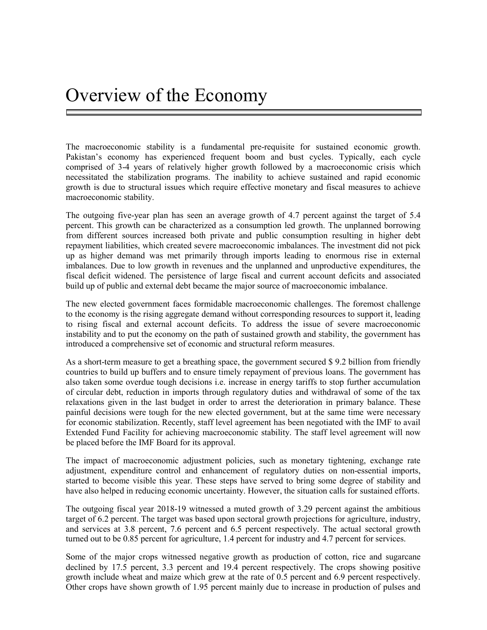The macroeconomic stability is a fundamental pre-requisite for sustained economic growth. Pakistan's economy has experienced frequent boom and bust cycles. Typically, each cycle comprised of 3-4 years of relatively higher growth followed by a macroeconomic crisis which necessitated the stabilization programs. The inability to achieve sustained and rapid economic growth is due to structural issues which require effective monetary and fiscal measures to achieve macroeconomic stability.

The outgoing five-year plan has seen an average growth of 4.7 percent against the target of 5.4 percent. This growth can be characterized as a consumption led growth. The unplanned borrowing from different sources increased both private and public consumption resulting in higher debt repayment liabilities, which created severe macroeconomic imbalances. The investment did not pick up as higher demand was met primarily through imports leading to enormous rise in external imbalances. Due to low growth in revenues and the unplanned and unproductive expenditures, the fiscal deficit widened. The persistence of large fiscal and current account deficits and associated build up of public and external debt became the major source of macroeconomic imbalance.

The new elected government faces formidable macroeconomic challenges. The foremost challenge to the economy is the rising aggregate demand without corresponding resources to support it, leading to rising fiscal and external account deficits. To address the issue of severe macroeconomic instability and to put the economy on the path of sustained growth and stability, the government has introduced a comprehensive set of economic and structural reform measures.

As a short-term measure to get a breathing space, the government secured \$ 9.2 billion from friendly countries to build up buffers and to ensure timely repayment of previous loans. The government has also taken some overdue tough decisions i.e. increase in energy tariffs to stop further accumulation of circular debt, reduction in imports through regulatory duties and withdrawal of some of the tax relaxations given in the last budget in order to arrest the deterioration in primary balance. These painful decisions were tough for the new elected government, but at the same time were necessary for economic stabilization. Recently, staff level agreement has been negotiated with the IMF to avail Extended Fund Facility for achieving macroeconomic stability. The staff level agreement will now be placed before the IMF Board for its approval.

The impact of macroeconomic adjustment policies, such as monetary tightening, exchange rate adjustment, expenditure control and enhancement of regulatory duties on non-essential imports, started to become visible this year. These steps have served to bring some degree of stability and have also helped in reducing economic uncertainty. However, the situation calls for sustained efforts.

The outgoing fiscal year 2018-19 witnessed a muted growth of 3.29 percent against the ambitious target of 6.2 percent. The target was based upon sectoral growth projections for agriculture, industry, and services at 3.8 percent, 7.6 percent and 6.5 percent respectively. The actual sectoral growth turned out to be 0.85 percent for agriculture, 1.4 percent for industry and 4.7 percent for services.

Some of the major crops witnessed negative growth as production of cotton, rice and sugarcane declined by 17.5 percent, 3.3 percent and 19.4 percent respectively. The crops showing positive growth include wheat and maize which grew at the rate of 0.5 percent and 6.9 percent respectively. Other crops have shown growth of 1.95 percent mainly due to increase in production of pulses and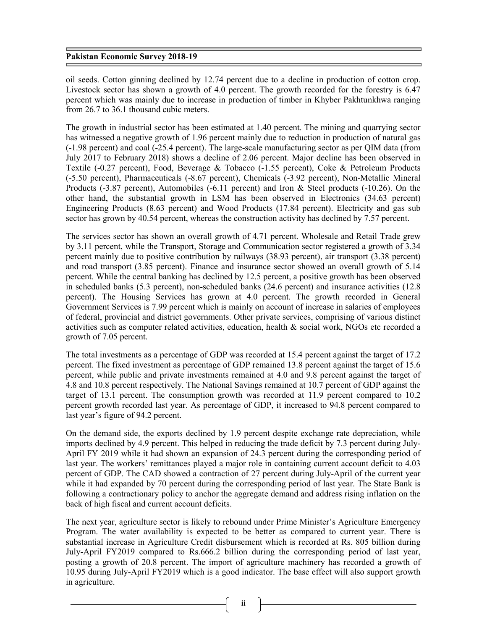oil seeds. Cotton ginning declined by 12.74 percent due to a decline in production of cotton crop. Livestock sector has shown a growth of 4.0 percent. The growth recorded for the forestry is 6.47 percent which was mainly due to increase in production of timber in Khyber Pakhtunkhwa ranging from 26.7 to 36.1 thousand cubic meters.

The growth in industrial sector has been estimated at 1.40 percent. The mining and quarrying sector has witnessed a negative growth of 1.96 percent mainly due to reduction in production of natural gas (-1.98 percent) and coal (-25.4 percent). The large-scale manufacturing sector as per QIM data (from July 2017 to February 2018) shows a decline of 2.06 percent. Major decline has been observed in Textile (-0.27 percent), Food, Beverage & Tobacco (-1.55 percent), Coke & Petroleum Products (-5.50 percent), Pharmaceuticals (-8.67 percent), Chemicals (-3.92 percent), Non-Metallic Mineral Products (-3.87 percent), Automobiles (-6.11 percent) and Iron & Steel products (-10.26). On the other hand, the substantial growth in LSM has been observed in Electronics (34.63 percent) Engineering Products (8.63 percent) and Wood Products (17.84 percent). Electricity and gas sub sector has grown by 40.54 percent, whereas the construction activity has declined by 7.57 percent.

The services sector has shown an overall growth of 4.71 percent. Wholesale and Retail Trade grew by 3.11 percent, while the Transport, Storage and Communication sector registered a growth of 3.34 percent mainly due to positive contribution by railways (38.93 percent), air transport (3.38 percent) and road transport (3.85 percent). Finance and insurance sector showed an overall growth of 5.14 percent. While the central banking has declined by 12.5 percent, a positive growth has been observed in scheduled banks (5.3 percent), non-scheduled banks (24.6 percent) and insurance activities (12.8 percent). The Housing Services has grown at 4.0 percent. The growth recorded in General Government Services is 7.99 percent which is mainly on account of increase in salaries of employees of federal, provincial and district governments. Other private services, comprising of various distinct activities such as computer related activities, education, health & social work, NGOs etc recorded a growth of 7.05 percent.

The total investments as a percentage of GDP was recorded at 15.4 percent against the target of 17.2 percent. The fixed investment as percentage of GDP remained 13.8 percent against the target of 15.6 percent, while public and private investments remained at 4.0 and 9.8 percent against the target of 4.8 and 10.8 percent respectively. The National Savings remained at 10.7 percent of GDP against the target of 13.1 percent. The consumption growth was recorded at 11.9 percent compared to 10.2 percent growth recorded last year. As percentage of GDP, it increased to 94.8 percent compared to last year's figure of 94.2 percent.

On the demand side, the exports declined by 1.9 percent despite exchange rate depreciation, while imports declined by 4.9 percent. This helped in reducing the trade deficit by 7.3 percent during July-April FY 2019 while it had shown an expansion of 24.3 percent during the corresponding period of last year. The workers' remittances played a major role in containing current account deficit to 4.03 percent of GDP. The CAD showed a contraction of 27 percent during July-April of the current year while it had expanded by 70 percent during the corresponding period of last year. The State Bank is following a contractionary policy to anchor the aggregate demand and address rising inflation on the back of high fiscal and current account deficits.

The next year, agriculture sector is likely to rebound under Prime Minister's Agriculture Emergency Program. The water availability is expected to be better as compared to current year. There is substantial increase in Agriculture Credit disbursement which is recorded at Rs. 805 billion during July-April FY2019 compared to Rs.666.2 billion during the corresponding period of last year, posting a growth of 20.8 percent. The import of agriculture machinery has recorded a growth of 10.95 during July-April FY2019 which is a good indicator. The base effect will also support growth in agriculture.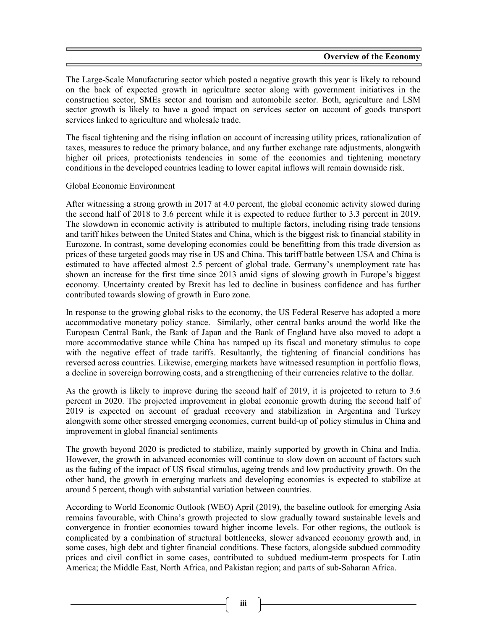The Large-Scale Manufacturing sector which posted a negative growth this year is likely to rebound on the back of expected growth in agriculture sector along with government initiatives in the construction sector, SMEs sector and tourism and automobile sector. Both, agriculture and LSM sector growth is likely to have a good impact on services sector on account of goods transport services linked to agriculture and wholesale trade.

The fiscal tightening and the rising inflation on account of increasing utility prices, rationalization of taxes, measures to reduce the primary balance, and any further exchange rate adjustments, alongwith higher oil prices, protectionists tendencies in some of the economies and tightening monetary conditions in the developed countries leading to lower capital inflows will remain downside risk.

## Global Economic Environment

After witnessing a strong growth in 2017 at 4.0 percent, the global economic activity slowed during the second half of 2018 to 3.6 percent while it is expected to reduce further to 3.3 percent in 2019. The slowdown in economic activity is attributed to multiple factors, including rising trade tensions and tariff hikes between the United States and China, which is the biggest risk to financial stability in Eurozone. In contrast, some developing economies could be benefitting from this trade diversion as prices of these targeted goods may rise in US and China. This tariff battle between USA and China is estimated to have affected almost 2.5 percent of global trade. Germany's unemployment rate has shown an increase for the first time since 2013 amid signs of slowing growth in Europe's biggest economy. Uncertainty created by Brexit has led to decline in business confidence and has further contributed towards slowing of growth in Euro zone.

In response to the growing global risks to the economy, the US Federal Reserve has adopted a more accommodative monetary policy stance. Similarly, other central banks around the world like the European Central Bank, the Bank of Japan and the Bank of England have also moved to adopt a more accommodative stance while China has ramped up its fiscal and monetary stimulus to cope with the negative effect of trade tariffs. Resultantly, the tightening of financial conditions has reversed across countries. Likewise, emerging markets have witnessed resumption in portfolio flows, a decline in sovereign borrowing costs, and a strengthening of their currencies relative to the dollar.

As the growth is likely to improve during the second half of 2019, it is projected to return to 3.6 percent in 2020. The projected improvement in global economic growth during the second half of 2019 is expected on account of gradual recovery and stabilization in Argentina and Turkey alongwith some other stressed emerging economies, current build-up of policy stimulus in China and improvement in global financial sentiments

The growth beyond 2020 is predicted to stabilize, mainly supported by growth in China and India. However, the growth in advanced economies will continue to slow down on account of factors such as the fading of the impact of US fiscal stimulus, ageing trends and low productivity growth. On the other hand, the growth in emerging markets and developing economies is expected to stabilize at around 5 percent, though with substantial variation between countries.

According to World Economic Outlook (WEO) April (2019), the baseline outlook for emerging Asia remains favourable, with China's growth projected to slow gradually toward sustainable levels and convergence in frontier economies toward higher income levels. For other regions, the outlook is complicated by a combination of structural bottlenecks, slower advanced economy growth and, in some cases, high debt and tighter financial conditions. These factors, alongside subdued commodity prices and civil conflict in some cases, contributed to subdued medium-term prospects for Latin America; the Middle East, North Africa, and Pakistan region; and parts of sub-Saharan Africa.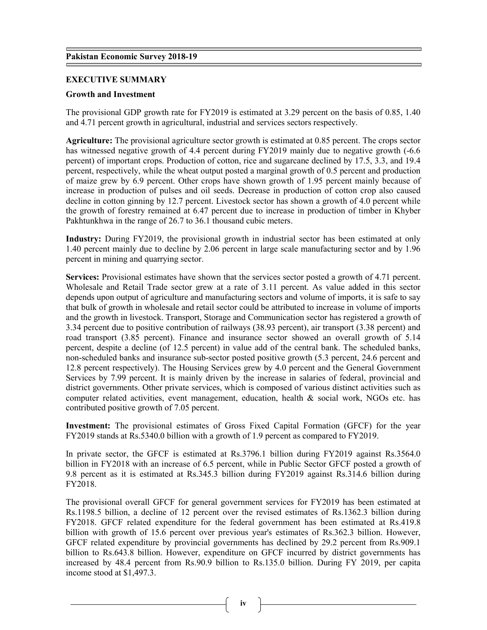## EXECUTIVE SUMMARY

## Growth and Investment

The provisional GDP growth rate for FY2019 is estimated at 3.29 percent on the basis of 0.85, 1.40 and 4.71 percent growth in agricultural, industrial and services sectors respectively.

Agriculture: The provisional agriculture sector growth is estimated at 0.85 percent. The crops sector has witnessed negative growth of 4.4 percent during FY2019 mainly due to negative growth  $(-6.6$ percent) of important crops. Production of cotton, rice and sugarcane declined by 17.5, 3.3, and 19.4 percent, respectively, while the wheat output posted a marginal growth of 0.5 percent and production of maize grew by 6.9 percent. Other crops have shown growth of 1.95 percent mainly because of increase in production of pulses and oil seeds. Decrease in production of cotton crop also caused decline in cotton ginning by 12.7 percent. Livestock sector has shown a growth of 4.0 percent while the growth of forestry remained at 6.47 percent due to increase in production of timber in Khyber Pakhtunkhwa in the range of 26.7 to 36.1 thousand cubic meters.

Industry: During FY2019, the provisional growth in industrial sector has been estimated at only 1.40 percent mainly due to decline by 2.06 percent in large scale manufacturing sector and by 1.96 percent in mining and quarrying sector.

Services: Provisional estimates have shown that the services sector posted a growth of 4.71 percent. Wholesale and Retail Trade sector grew at a rate of 3.11 percent. As value added in this sector depends upon output of agriculture and manufacturing sectors and volume of imports, it is safe to say that bulk of growth in wholesale and retail sector could be attributed to increase in volume of imports and the growth in livestock. Transport, Storage and Communication sector has registered a growth of 3.34 percent due to positive contribution of railways (38.93 percent), air transport (3.38 percent) and road transport (3.85 percent). Finance and insurance sector showed an overall growth of 5.14 percent, despite a decline (of 12.5 percent) in value add of the central bank. The scheduled banks, non-scheduled banks and insurance sub-sector posted positive growth (5.3 percent, 24.6 percent and 12.8 percent respectively). The Housing Services grew by 4.0 percent and the General Government Services by 7.99 percent. It is mainly driven by the increase in salaries of federal, provincial and district governments. Other private services, which is composed of various distinct activities such as computer related activities, event management, education, health & social work, NGOs etc. has contributed positive growth of 7.05 percent.

Investment: The provisional estimates of Gross Fixed Capital Formation (GFCF) for the year FY2019 stands at Rs.5340.0 billion with a growth of 1.9 percent as compared to FY2019.

In private sector, the GFCF is estimated at Rs.3796.1 billion during FY2019 against Rs.3564.0 billion in FY2018 with an increase of 6.5 percent, while in Public Sector GFCF posted a growth of 9.8 percent as it is estimated at Rs.345.3 billion during FY2019 against Rs.314.6 billion during FY2018.

The provisional overall GFCF for general government services for FY2019 has been estimated at Rs.1198.5 billion, a decline of 12 percent over the revised estimates of Rs.1362.3 billion during FY2018. GFCF related expenditure for the federal government has been estimated at Rs.419.8 billion with growth of 15.6 percent over previous year's estimates of Rs.362.3 billion. However, GFCF related expenditure by provincial governments has declined by 29.2 percent from Rs.909.1 billion to Rs.643.8 billion. However, expenditure on GFCF incurred by district governments has increased by 48.4 percent from Rs.90.9 billion to Rs.135.0 billion. During FY 2019, per capita income stood at \$1,497.3.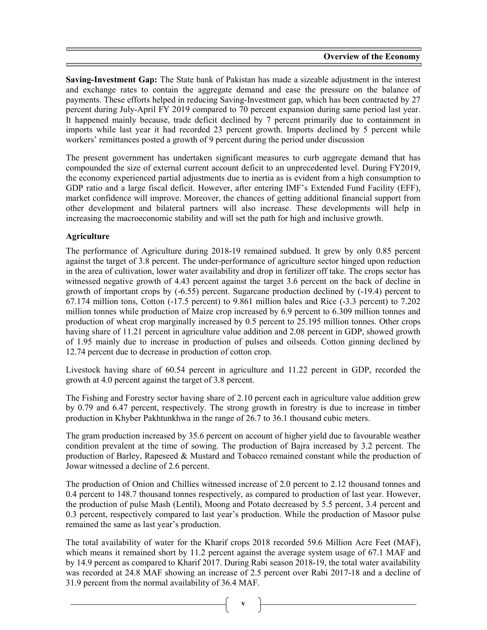Saving-Investment Gap: The State bank of Pakistan has made a sizeable adjustment in the interest and exchange rates to contain the aggregate demand and ease the pressure on the balance of payments. These efforts helped in reducing Saving-Investment gap, which has been contracted by 27 percent during July-April FY 2019 compared to 70 percent expansion during same period last year. It happened mainly because, trade deficit declined by 7 percent primarily due to containment in imports while last year it had recorded 23 percent growth. Imports declined by 5 percent while workers' remittances posted a growth of 9 percent during the period under discussion

The present government has undertaken significant measures to curb aggregate demand that has compounded the size of external current account deficit to an unprecedented level. During FY2019, the economy experienced partial adjustments due to inertia as is evident from a high consumption to GDP ratio and a large fiscal deficit. However, after entering IMF's Extended Fund Facility (EFF), market confidence will improve. Moreover, the chances of getting additional financial support from other development and bilateral partners will also increase. These developments will help in increasing the macroeconomic stability and will set the path for high and inclusive growth.

# Agriculture

The performance of Agriculture during 2018-19 remained subdued. It grew by only 0.85 percent against the target of 3.8 percent. The under-performance of agriculture sector hinged upon reduction in the area of cultivation, lower water availability and drop in fertilizer off take. The crops sector has witnessed negative growth of 4.43 percent against the target 3.6 percent on the back of decline in growth of important crops by (-6.55) percent. Sugarcane production declined by (-19.4) percent to 67.174 million tons, Cotton (-17.5 percent) to 9.861 million bales and Rice (-3.3 percent) to 7.202 million tonnes while production of Maize crop increased by 6.9 percent to 6.309 million tonnes and production of wheat crop marginally increased by 0.5 percent to 25.195 million tonnes. Other crops having share of 11.21 percent in agriculture value addition and 2.08 percent in GDP, showed growth of 1.95 mainly due to increase in production of pulses and oilseeds. Cotton ginning declined by 12.74 percent due to decrease in production of cotton crop.

Livestock having share of 60.54 percent in agriculture and 11.22 percent in GDP, recorded the growth at 4.0 percent against the target of 3.8 percent.

The Fishing and Forestry sector having share of 2.10 percent each in agriculture value addition grew by 0.79 and 6.47 percent, respectively. The strong growth in forestry is due to increase in timber production in Khyber Pakhtunkhwa in the range of 26.7 to 36.1 thousand cubic meters.

The gram production increased by 35.6 percent on account of higher yield due to favourable weather condition prevalent at the time of sowing. The production of Bajra increased by 3.2 percent. The production of Barley, Rapeseed & Mustard and Tobacco remained constant while the production of Jowar witnessed a decline of 2.6 percent.

The production of Onion and Chillies witnessed increase of 2.0 percent to 2.12 thousand tonnes and 0.4 percent to 148.7 thousand tonnes respectively, as compared to production of last year. However, the production of pulse Mash (Lentil), Moong and Potato decreased by 5.5 percent, 3.4 percent and 0.3 percent, respectively compared to last year's production. While the production of Masoor pulse remained the same as last year's production.

The total availability of water for the Kharif crops 2018 recorded 59.6 Million Acre Feet (MAF), which means it remained short by 11.2 percent against the average system usage of 67.1 MAF and by 14.9 percent as compared to Kharif 2017. During Rabi season 2018-19, the total water availability was recorded at 24.8 MAF showing an increase of 2.5 percent over Rabi 2017-18 and a decline of 31.9 percent from the normal availability of 36.4 MAF.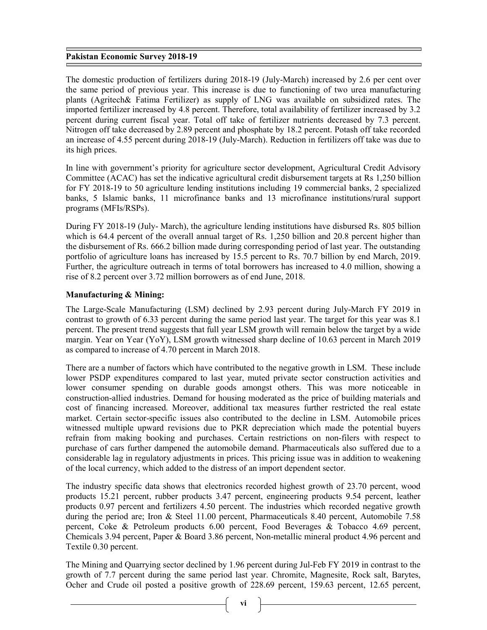The domestic production of fertilizers during 2018-19 (July-March) increased by 2.6 per cent over the same period of previous year. This increase is due to functioning of two urea manufacturing plants (Agritech& Fatima Fertilizer) as supply of LNG was available on subsidized rates. The imported fertilizer increased by 4.8 percent. Therefore, total availability of fertilizer increased by 3.2 percent during current fiscal year. Total off take of fertilizer nutrients decreased by 7.3 percent. Nitrogen off take decreased by 2.89 percent and phosphate by 18.2 percent. Potash off take recorded an increase of 4.55 percent during 2018-19 (July-March). Reduction in fertilizers off take was due to its high prices.

In line with government's priority for agriculture sector development, Agricultural Credit Advisory Committee (ACAC) has set the indicative agricultural credit disbursement targets at Rs 1,250 billion for FY 2018-19 to 50 agriculture lending institutions including 19 commercial banks, 2 specialized banks, 5 Islamic banks, 11 microfinance banks and 13 microfinance institutions/rural support programs (MFIs/RSPs).

During FY 2018-19 (July- March), the agriculture lending institutions have disbursed Rs. 805 billion which is 64.4 percent of the overall annual target of Rs. 1,250 billion and 20.8 percent higher than the disbursement of Rs. 666.2 billion made during corresponding period of last year. The outstanding portfolio of agriculture loans has increased by 15.5 percent to Rs. 70.7 billion by end March, 2019. Further, the agriculture outreach in terms of total borrowers has increased to 4.0 million, showing a rise of 8.2 percent over 3.72 million borrowers as of end June, 2018.

## Manufacturing & Mining:

The Large-Scale Manufacturing (LSM) declined by 2.93 percent during July-March FY 2019 in contrast to growth of 6.33 percent during the same period last year. The target for this year was 8.1 percent. The present trend suggests that full year LSM growth will remain below the target by a wide margin. Year on Year (YoY), LSM growth witnessed sharp decline of 10.63 percent in March 2019 as compared to increase of 4.70 percent in March 2018.

There are a number of factors which have contributed to the negative growth in LSM. These include lower PSDP expenditures compared to last year, muted private sector construction activities and lower consumer spending on durable goods amongst others. This was more noticeable in construction-allied industries. Demand for housing moderated as the price of building materials and cost of financing increased. Moreover, additional tax measures further restricted the real estate market. Certain sector-specific issues also contributed to the decline in LSM. Automobile prices witnessed multiple upward revisions due to PKR depreciation which made the potential buyers refrain from making booking and purchases. Certain restrictions on non-filers with respect to purchase of cars further dampened the automobile demand. Pharmaceuticals also suffered due to a considerable lag in regulatory adjustments in prices. This pricing issue was in addition to weakening of the local currency, which added to the distress of an import dependent sector.

The industry specific data shows that electronics recorded highest growth of 23.70 percent, wood products 15.21 percent, rubber products 3.47 percent, engineering products 9.54 percent, leather products 0.97 percent and fertilizers 4.50 percent. The industries which recorded negative growth during the period are; Iron & Steel 11.00 percent, Pharmaceuticals 8.40 percent, Automobile 7.58 percent, Coke & Petroleum products 6.00 percent, Food Beverages & Tobacco 4.69 percent, Chemicals 3.94 percent, Paper & Board 3.86 percent, Non-metallic mineral product 4.96 percent and Textile 0.30 percent.

The Mining and Quarrying sector declined by 1.96 percent during Jul-Feb FY 2019 in contrast to the growth of 7.7 percent during the same period last year. Chromite, Magnesite, Rock salt, Barytes, Ocher and Crude oil posted a positive growth of 228.69 percent, 159.63 percent, 12.65 percent,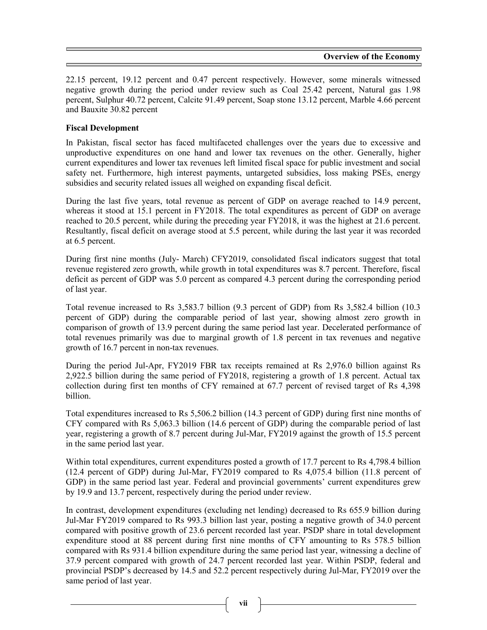22.15 percent, 19.12 percent and 0.47 percent respectively. However, some minerals witnessed negative growth during the period under review such as Coal 25.42 percent, Natural gas 1.98 percent, Sulphur 40.72 percent, Calcite 91.49 percent, Soap stone 13.12 percent, Marble 4.66 percent and Bauxite 30.82 percent

## Fiscal Development

In Pakistan, fiscal sector has faced multifaceted challenges over the years due to excessive and unproductive expenditures on one hand and lower tax revenues on the other. Generally, higher current expenditures and lower tax revenues left limited fiscal space for public investment and social safety net. Furthermore, high interest payments, untargeted subsidies, loss making PSEs, energy subsidies and security related issues all weighed on expanding fiscal deficit.

During the last five years, total revenue as percent of GDP on average reached to 14.9 percent, whereas it stood at 15.1 percent in FY2018. The total expenditures as percent of GDP on average reached to 20.5 percent, while during the preceding year FY2018, it was the highest at 21.6 percent. Resultantly, fiscal deficit on average stood at 5.5 percent, while during the last year it was recorded at 6.5 percent.

During first nine months (July- March) CFY2019, consolidated fiscal indicators suggest that total revenue registered zero growth, while growth in total expenditures was 8.7 percent. Therefore, fiscal deficit as percent of GDP was 5.0 percent as compared 4.3 percent during the corresponding period of last year.

Total revenue increased to Rs 3,583.7 billion (9.3 percent of GDP) from Rs 3,582.4 billion (10.3 percent of GDP) during the comparable period of last year, showing almost zero growth in comparison of growth of 13.9 percent during the same period last year. Decelerated performance of total revenues primarily was due to marginal growth of 1.8 percent in tax revenues and negative growth of 16.7 percent in non-tax revenues.

During the period Jul-Apr, FY2019 FBR tax receipts remained at Rs 2,976.0 billion against Rs 2,922.5 billion during the same period of FY2018, registering a growth of 1.8 percent. Actual tax collection during first ten months of CFY remained at 67.7 percent of revised target of Rs 4,398 billion.

Total expenditures increased to Rs 5,506.2 billion (14.3 percent of GDP) during first nine months of CFY compared with Rs 5,063.3 billion (14.6 percent of GDP) during the comparable period of last year, registering a growth of 8.7 percent during Jul-Mar, FY2019 against the growth of 15.5 percent in the same period last year.

Within total expenditures, current expenditures posted a growth of 17.7 percent to Rs 4,798.4 billion (12.4 percent of GDP) during Jul-Mar, FY2019 compared to Rs 4,075.4 billion (11.8 percent of GDP) in the same period last year. Federal and provincial governments' current expenditures grew by 19.9 and 13.7 percent, respectively during the period under review.

In contrast, development expenditures (excluding net lending) decreased to Rs 655.9 billion during Jul-Mar FY2019 compared to Rs 993.3 billion last year, posting a negative growth of 34.0 percent compared with positive growth of 23.6 percent recorded last year. PSDP share in total development expenditure stood at 88 percent during first nine months of CFY amounting to Rs 578.5 billion compared with Rs 931.4 billion expenditure during the same period last year, witnessing a decline of 37.9 percent compared with growth of 24.7 percent recorded last year. Within PSDP, federal and provincial PSDP's decreased by 14.5 and 52.2 percent respectively during Jul-Mar, FY2019 over the same period of last year.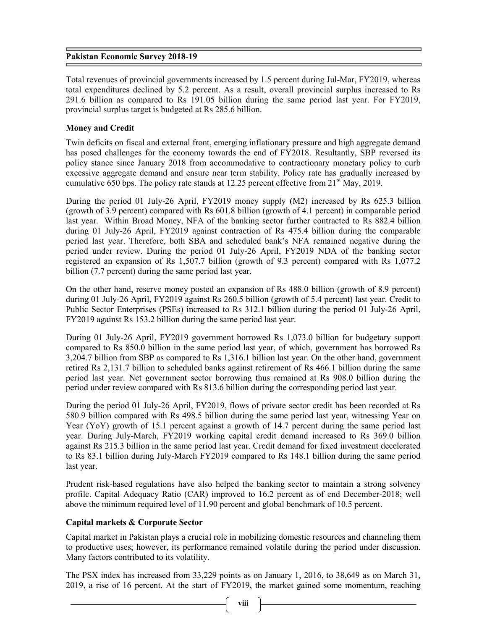Total revenues of provincial governments increased by 1.5 percent during Jul-Mar, FY2019, whereas total expenditures declined by 5.2 percent. As a result, overall provincial surplus increased to Rs 291.6 billion as compared to Rs 191.05 billion during the same period last year. For FY2019, provincial surplus target is budgeted at Rs 285.6 billion.

## Money and Credit

Twin deficits on fiscal and external front, emerging inflationary pressure and high aggregate demand has posed challenges for the economy towards the end of FY2018. Resultantly, SBP reversed its policy stance since January 2018 from accommodative to contractionary monetary policy to curb excessive aggregate demand and ensure near term stability. Policy rate has gradually increased by cumulative 650 bps. The policy rate stands at 12.25 percent effective from  $21<sup>st</sup>$  May, 2019.

During the period 01 July-26 April, FY2019 money supply (M2) increased by Rs 625.3 billion (growth of 3.9 percent) compared with Rs 601.8 billion (growth of 4.1 percent) in comparable period last year. Within Broad Money, NFA of the banking sector further contracted to Rs 882.4 billion during 01 July-26 April, FY2019 against contraction of Rs 475.4 billion during the comparable period last year. Therefore, both SBA and scheduled bank's NFA remained negative during the period under review. During the period 01 July-26 April, FY2019 NDA of the banking sector registered an expansion of Rs 1,507.7 billion (growth of 9.3 percent) compared with Rs 1,077.2 billion (7.7 percent) during the same period last year.

On the other hand, reserve money posted an expansion of Rs 488.0 billion (growth of 8.9 percent) during 01 July-26 April, FY2019 against Rs 260.5 billion (growth of 5.4 percent) last year. Credit to Public Sector Enterprises (PSEs) increased to Rs 312.1 billion during the period 01 July-26 April, FY2019 against Rs 153.2 billion during the same period last year.

During 01 July-26 April, FY2019 government borrowed Rs 1,073.0 billion for budgetary support compared to Rs 850.0 billion in the same period last year, of which, government has borrowed Rs 3,204.7 billion from SBP as compared to Rs 1,316.1 billion last year. On the other hand, government retired Rs 2,131.7 billion to scheduled banks against retirement of Rs 466.1 billion during the same period last year. Net government sector borrowing thus remained at Rs 908.0 billion during the period under review compared with Rs 813.6 billion during the corresponding period last year.

During the period 01 July-26 April, FY2019, flows of private sector credit has been recorded at Rs 580.9 billion compared with Rs 498.5 billion during the same period last year, witnessing Year on Year (YoY) growth of 15.1 percent against a growth of 14.7 percent during the same period last year. During July-March, FY2019 working capital credit demand increased to Rs 369.0 billion against Rs 215.3 billion in the same period last year. Credit demand for fixed investment decelerated to Rs 83.1 billion during July-March FY2019 compared to Rs 148.1 billion during the same period last year.

Prudent risk-based regulations have also helped the banking sector to maintain a strong solvency profile. Capital Adequacy Ratio (CAR) improved to 16.2 percent as of end December-2018; well above the minimum required level of 11.90 percent and global benchmark of 10.5 percent.

# Capital markets & Corporate Sector

Capital market in Pakistan plays a crucial role in mobilizing domestic resources and channeling them to productive uses; however, its performance remained volatile during the period under discussion. Many factors contributed to its volatility.

The PSX index has increased from 33,229 points as on January 1, 2016, to 38,649 as on March 31, 2019, a rise of 16 percent. At the start of FY2019, the market gained some momentum, reaching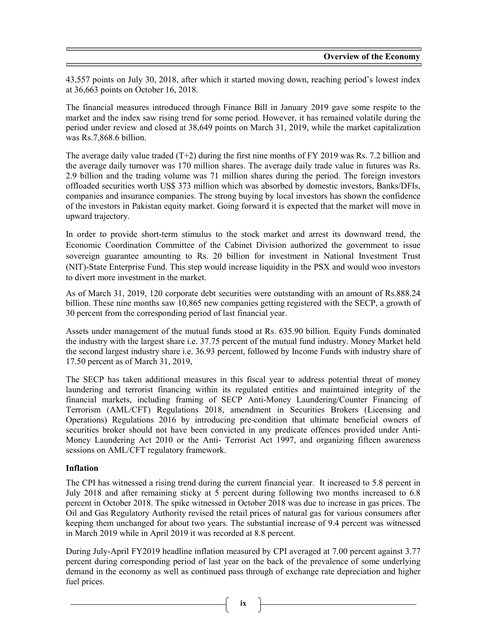43,557 points on July 30, 2018, after which it started moving down, reaching period's lowest index at 36,663 points on October 16, 2018.

The financial measures introduced through Finance Bill in January 2019 gave some respite to the market and the index saw rising trend for some period. However, it has remained volatile during the period under review and closed at 38,649 points on March 31, 2019, while the market capitalization was Rs.7,868.6 billion.

The average daily value traded (T+2) during the first nine months of FY 2019 was Rs. 7.2 billion and the average daily turnover was 170 million shares. The average daily trade value in futures was Rs. 2.9 billion and the trading volume was 71 million shares during the period. The foreign investors offloaded securities worth US\$ 373 million which was absorbed by domestic investors, Banks/DFIs, companies and insurance companies. The strong buying by local investors has shown the confidence of the investors in Pakistan equity market. Going forward it is expected that the market will move in upward trajectory.

In order to provide short-term stimulus to the stock market and arrest its downward trend, the Economic Coordination Committee of the Cabinet Division authorized the government to issue sovereign guarantee amounting to Rs. 20 billion for investment in National Investment Trust (NIT)-State Enterprise Fund. This step would increase liquidity in the PSX and would woo investors to divert more investment in the market.

As of March 31, 2019, 120 corporate debt securities were outstanding with an amount of Rs.888.24 billion. These nine months saw 10,865 new companies getting registered with the SECP, a growth of 30 percent from the corresponding period of last financial year.

Assets under management of the mutual funds stood at Rs. 635.90 billion. Equity Funds dominated the industry with the largest share i.e. 37.75 percent of the mutual fund industry. Money Market held the second largest industry share i.e. 36.93 percent, followed by Income Funds with industry share of 17.50 percent as of March 31, 2019,

The SECP has taken additional measures in this fiscal year to address potential threat of money laundering and terrorist financing within its regulated entities and maintained integrity of the financial markets, including framing of SECP Anti-Money Laundering/Counter Financing of Terrorism (AML/CFT) Regulations 2018, amendment in Securities Brokers (Licensing and Operations) Regulations 2016 by introducing pre-condition that ultimate beneficial owners of securities broker should not have been convicted in any predicate offences provided under Anti-Money Laundering Act 2010 or the Anti- Terrorist Act 1997, and organizing fifteen awareness sessions on AML/CFT regulatory framework.

## Inflation

The CPI has witnessed a rising trend during the current financial year. It increased to 5.8 percent in July 2018 and after remaining sticky at 5 percent during following two months increased to 6.8 percent in October 2018. The spike witnessed in October 2018 was due to increase in gas prices. The Oil and Gas Regulatory Authority revised the retail prices of natural gas for various consumers after keeping them unchanged for about two years. The substantial increase of 9.4 percent was witnessed in March 2019 while in April 2019 it was recorded at 8.8 percent.

During July-April FY2019 headline inflation measured by CPI averaged at 7.00 percent against 3.77 percent during corresponding period of last year on the back of the prevalence of some underlying demand in the economy as well as continued pass through of exchange rate depreciation and higher fuel prices.

ix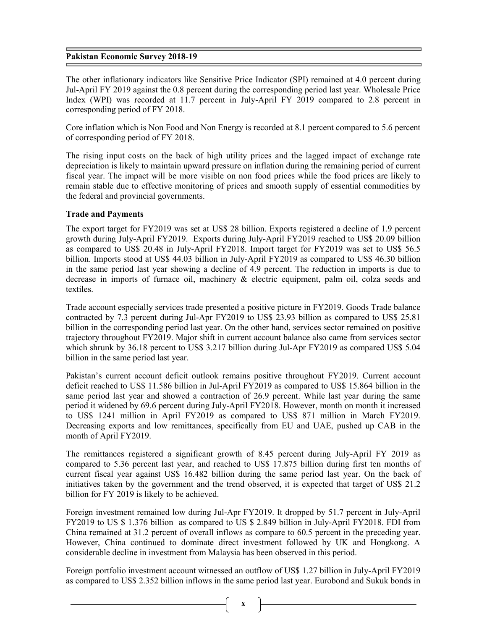The other inflationary indicators like Sensitive Price Indicator (SPI) remained at 4.0 percent during Jul-April FY 2019 against the 0.8 percent during the corresponding period last year. Wholesale Price Index (WPI) was recorded at 11.7 percent in July-April FY 2019 compared to 2.8 percent in corresponding period of FY 2018.

Core inflation which is Non Food and Non Energy is recorded at 8.1 percent compared to 5.6 percent of corresponding period of FY 2018.

The rising input costs on the back of high utility prices and the lagged impact of exchange rate depreciation is likely to maintain upward pressure on inflation during the remaining period of current fiscal year. The impact will be more visible on non food prices while the food prices are likely to remain stable due to effective monitoring of prices and smooth supply of essential commodities by the federal and provincial governments.

#### Trade and Payments

The export target for FY2019 was set at US\$ 28 billion. Exports registered a decline of 1.9 percent growth during July-April FY2019. Exports during July-April FY2019 reached to US\$ 20.09 billion as compared to US\$ 20.48 in July-April FY2018. Import target for FY2019 was set to US\$ 56.5 billion. Imports stood at US\$ 44.03 billion in July-April FY2019 as compared to US\$ 46.30 billion in the same period last year showing a decline of 4.9 percent. The reduction in imports is due to decrease in imports of furnace oil, machinery & electric equipment, palm oil, colza seeds and textiles.

Trade account especially services trade presented a positive picture in FY2019. Goods Trade balance contracted by 7.3 percent during Jul-Apr FY2019 to US\$ 23.93 billion as compared to US\$ 25.81 billion in the corresponding period last year. On the other hand, services sector remained on positive trajectory throughout FY2019. Major shift in current account balance also came from services sector which shrunk by 36.18 percent to US\$ 3.217 billion during Jul-Apr FY2019 as compared US\$ 5.04 billion in the same period last year.

Pakistan's current account deficit outlook remains positive throughout FY2019. Current account deficit reached to US\$ 11.586 billion in Jul-April FY2019 as compared to US\$ 15.864 billion in the same period last year and showed a contraction of 26.9 percent. While last year during the same period it widened by 69.6 percent during July-April FY2018. However, month on month it increased to US\$ 1241 million in April FY2019 as compared to US\$ 871 million in March FY2019. Decreasing exports and low remittances, specifically from EU and UAE, pushed up CAB in the month of April FY2019.

The remittances registered a significant growth of 8.45 percent during July-April FY 2019 as compared to 5.36 percent last year, and reached to US\$ 17.875 billion during first ten months of current fiscal year against US\$ 16.482 billion during the same period last year. On the back of initiatives taken by the government and the trend observed, it is expected that target of US\$ 21.2 billion for FY 2019 is likely to be achieved.

Foreign investment remained low during Jul-Apr FY2019. It dropped by 51.7 percent in July-April FY2019 to US \$ 1.376 billion as compared to US \$ 2.849 billion in July-April FY2018. FDI from China remained at 31.2 percent of overall inflows as compare to 60.5 percent in the preceding year. However, China continued to dominate direct investment followed by UK and Hongkong. A considerable decline in investment from Malaysia has been observed in this period.

Foreign portfolio investment account witnessed an outflow of US\$ 1.27 billion in July-April FY2019 as compared to US\$ 2.352 billion inflows in the same period last year. Eurobond and Sukuk bonds in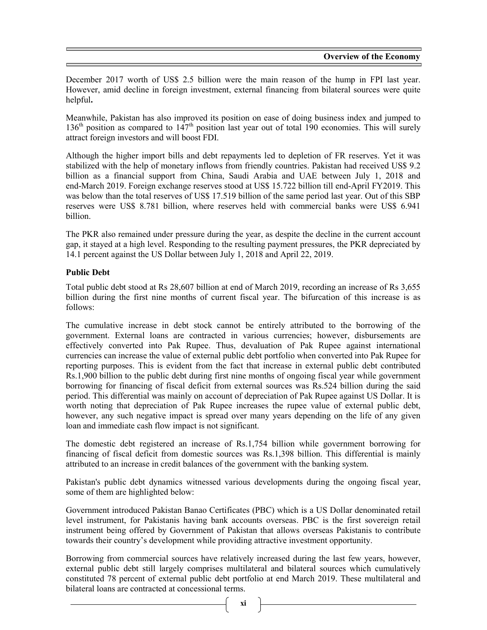December 2017 worth of US\$ 2.5 billion were the main reason of the hump in FPI last year. However, amid decline in foreign investment, external financing from bilateral sources were quite helpful.

Meanwhile, Pakistan has also improved its position on ease of doing business index and jumped to  $136<sup>th</sup>$  position as compared to  $147<sup>th</sup>$  position last year out of total 190 economies. This will surely attract foreign investors and will boost FDI.

Although the higher import bills and debt repayments led to depletion of FR reserves. Yet it was stabilized with the help of monetary inflows from friendly countries. Pakistan had received US\$ 9.2 billion as a financial support from China, Saudi Arabia and UAE between July 1, 2018 and end-March 2019. Foreign exchange reserves stood at US\$ 15.722 billion till end-April FY2019. This was below than the total reserves of US\$ 17.519 billion of the same period last year. Out of this SBP reserves were US\$ 8.781 billion, where reserves held with commercial banks were US\$ 6.941 billion.

The PKR also remained under pressure during the year, as despite the decline in the current account gap, it stayed at a high level. Responding to the resulting payment pressures, the PKR depreciated by 14.1 percent against the US Dollar between July 1, 2018 and April 22, 2019.

# Public Debt

Total public debt stood at Rs 28,607 billion at end of March 2019, recording an increase of Rs 3,655 billion during the first nine months of current fiscal year. The bifurcation of this increase is as follows:

The cumulative increase in debt stock cannot be entirely attributed to the borrowing of the government. External loans are contracted in various currencies; however, disbursements are effectively converted into Pak Rupee. Thus, devaluation of Pak Rupee against international currencies can increase the value of external public debt portfolio when converted into Pak Rupee for reporting purposes. This is evident from the fact that increase in external public debt contributed Rs.1,900 billion to the public debt during first nine months of ongoing fiscal year while government borrowing for financing of fiscal deficit from external sources was Rs.524 billion during the said period. This differential was mainly on account of depreciation of Pak Rupee against US Dollar. It is worth noting that depreciation of Pak Rupee increases the rupee value of external public debt, however, any such negative impact is spread over many years depending on the life of any given loan and immediate cash flow impact is not significant.

The domestic debt registered an increase of Rs.1,754 billion while government borrowing for financing of fiscal deficit from domestic sources was Rs.1,398 billion. This differential is mainly attributed to an increase in credit balances of the government with the banking system.

Pakistan's public debt dynamics witnessed various developments during the ongoing fiscal year, some of them are highlighted below:

Government introduced Pakistan Banao Certificates (PBC) which is a US Dollar denominated retail level instrument, for Pakistanis having bank accounts overseas. PBC is the first sovereign retail instrument being offered by Government of Pakistan that allows overseas Pakistanis to contribute towards their country's development while providing attractive investment opportunity.

Borrowing from commercial sources have relatively increased during the last few years, however, external public debt still largely comprises multilateral and bilateral sources which cumulatively constituted 78 percent of external public debt portfolio at end March 2019. These multilateral and bilateral loans are contracted at concessional terms.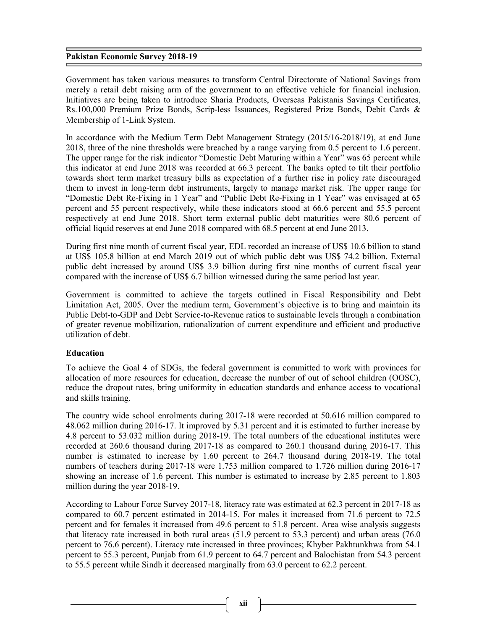Government has taken various measures to transform Central Directorate of National Savings from merely a retail debt raising arm of the government to an effective vehicle for financial inclusion. Initiatives are being taken to introduce Sharia Products, Overseas Pakistanis Savings Certificates, Rs.100,000 Premium Prize Bonds, Scrip-less Issuances, Registered Prize Bonds, Debit Cards & Membership of 1-Link System.

In accordance with the Medium Term Debt Management Strategy (2015/16-2018/19), at end June 2018, three of the nine thresholds were breached by a range varying from 0.5 percent to 1.6 percent. The upper range for the risk indicator "Domestic Debt Maturing within a Year" was 65 percent while this indicator at end June 2018 was recorded at 66.3 percent. The banks opted to tilt their portfolio towards short term market treasury bills as expectation of a further rise in policy rate discouraged them to invest in long-term debt instruments, largely to manage market risk. The upper range for "Domestic Debt Re-Fixing in 1 Year" and "Public Debt Re-Fixing in 1 Year" was envisaged at 65 percent and 55 percent respectively, while these indicators stood at 66.6 percent and 55.5 percent respectively at end June 2018. Short term external public debt maturities were 80.6 percent of official liquid reserves at end June 2018 compared with 68.5 percent at end June 2013.

During first nine month of current fiscal year, EDL recorded an increase of US\$ 10.6 billion to stand at US\$ 105.8 billion at end March 2019 out of which public debt was US\$ 74.2 billion. External public debt increased by around US\$ 3.9 billion during first nine months of current fiscal year compared with the increase of US\$ 6.7 billion witnessed during the same period last year.

Government is committed to achieve the targets outlined in Fiscal Responsibility and Debt Limitation Act, 2005. Over the medium term, Government's objective is to bring and maintain its Public Debt-to-GDP and Debt Service-to-Revenue ratios to sustainable levels through a combination of greater revenue mobilization, rationalization of current expenditure and efficient and productive utilization of debt.

## Education

To achieve the Goal 4 of SDGs, the federal government is committed to work with provinces for allocation of more resources for education, decrease the number of out of school children (OOSC), reduce the dropout rates, bring uniformity in education standards and enhance access to vocational and skills training.

The country wide school enrolments during 2017-18 were recorded at 50.616 million compared to 48.062 million during 2016-17. It improved by 5.31 percent and it is estimated to further increase by 4.8 percent to 53.032 million during 2018-19. The total numbers of the educational institutes were recorded at 260.6 thousand during 2017-18 as compared to 260.1 thousand during 2016-17. This number is estimated to increase by 1.60 percent to 264.7 thousand during 2018-19. The total numbers of teachers during 2017-18 were 1.753 million compared to 1.726 million during 2016-17 showing an increase of 1.6 percent. This number is estimated to increase by 2.85 percent to 1.803 million during the year 2018-19.

According to Labour Force Survey 2017-18, literacy rate was estimated at 62.3 percent in 2017-18 as compared to 60.7 percent estimated in 2014-15. For males it increased from 71.6 percent to 72.5 percent and for females it increased from 49.6 percent to 51.8 percent. Area wise analysis suggests that literacy rate increased in both rural areas (51.9 percent to 53.3 percent) and urban areas (76.0 percent to 76.6 percent). Literacy rate increased in three provinces; Khyber Pakhtunkhwa from 54.1 percent to 55.3 percent, Punjab from 61.9 percent to 64.7 percent and Balochistan from 54.3 percent to 55.5 percent while Sindh it decreased marginally from 63.0 percent to 62.2 percent.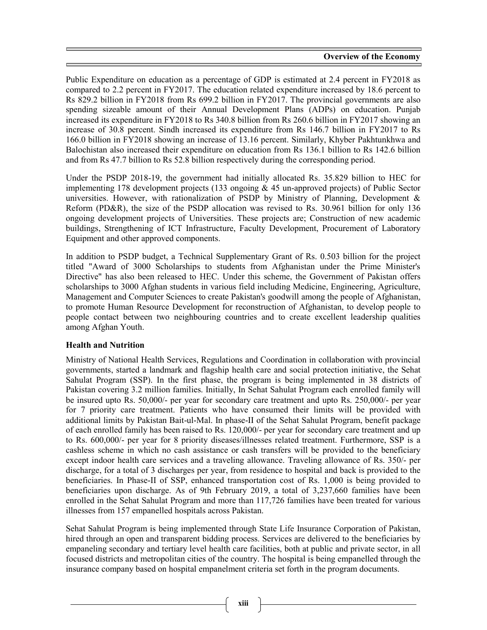Public Expenditure on education as a percentage of GDP is estimated at 2.4 percent in FY2018 as compared to 2.2 percent in FY2017. The education related expenditure increased by 18.6 percent to Rs 829.2 billion in FY2018 from Rs 699.2 billion in FY2017. The provincial governments are also spending sizeable amount of their Annual Development Plans (ADPs) on education. Punjab increased its expenditure in FY2018 to Rs 340.8 billion from Rs 260.6 billion in FY2017 showing an increase of 30.8 percent. Sindh increased its expenditure from Rs 146.7 billion in FY2017 to Rs 166.0 billion in FY2018 showing an increase of 13.16 percent. Similarly, Khyber Pakhtunkhwa and Balochistan also increased their expenditure on education from Rs 136.1 billion to Rs 142.6 billion and from Rs 47.7 billion to Rs 52.8 billion respectively during the corresponding period.

Under the PSDP 2018-19, the government had initially allocated Rs. 35.829 billion to HEC for implementing 178 development projects (133 ongoing & 45 un-approved projects) of Public Sector universities. However, with rationalization of PSDP by Ministry of Planning, Development & Reform (PD&R), the size of the PSDP allocation was revised to Rs. 30.961 billion for only 136 ongoing development projects of Universities. These projects are; Construction of new academic buildings, Strengthening of ICT Infrastructure, Faculty Development, Procurement of Laboratory Equipment and other approved components.

In addition to PSDP budget, a Technical Supplementary Grant of Rs. 0.503 billion for the project titled "Award of 3000 Scholarships to students from Afghanistan under the Prime Minister's Directive" has also been released to HEC. Under this scheme, the Government of Pakistan offers scholarships to 3000 Afghan students in various field including Medicine, Engineering, Agriculture, Management and Computer Sciences to create Pakistan's goodwill among the people of Afghanistan, to promote Human Resource Development for reconstruction of Afghanistan, to develop people to people contact between two neighbouring countries and to create excellent leadership qualities among Afghan Youth.

# Health and Nutrition

Ministry of National Health Services, Regulations and Coordination in collaboration with provincial governments, started a landmark and flagship health care and social protection initiative, the Sehat Sahulat Program (SSP). In the first phase, the program is being implemented in 38 districts of Pakistan covering 3.2 million families. Initially, In Sehat Sahulat Program each enrolled family will be insured upto Rs. 50,000/- per year for secondary care treatment and upto Rs. 250,000/- per year for 7 priority care treatment. Patients who have consumed their limits will be provided with additional limits by Pakistan Bait-ul-Mal. In phase-II of the Sehat Sahulat Program, benefit package of each enrolled family has been raised to Rs. 120,000/- per year for secondary care treatment and up to Rs. 600,000/- per year for 8 priority diseases/illnesses related treatment. Furthermore, SSP is a cashless scheme in which no cash assistance or cash transfers will be provided to the beneficiary except indoor health care services and a traveling allowance. Traveling allowance of Rs. 350/- per discharge, for a total of 3 discharges per year, from residence to hospital and back is provided to the beneficiaries. In Phase-II of SSP, enhanced transportation cost of Rs. 1,000 is being provided to beneficiaries upon discharge. As of 9th February 2019, a total of 3,237,660 families have been enrolled in the Sehat Sahulat Program and more than 117,726 families have been treated for various illnesses from 157 empanelled hospitals across Pakistan.

Sehat Sahulat Program is being implemented through State Life Insurance Corporation of Pakistan, hired through an open and transparent bidding process. Services are delivered to the beneficiaries by empaneling secondary and tertiary level health care facilities, both at public and private sector, in all focused districts and metropolitan cities of the country. The hospital is being empanelled through the insurance company based on hospital empanelment criteria set forth in the program documents.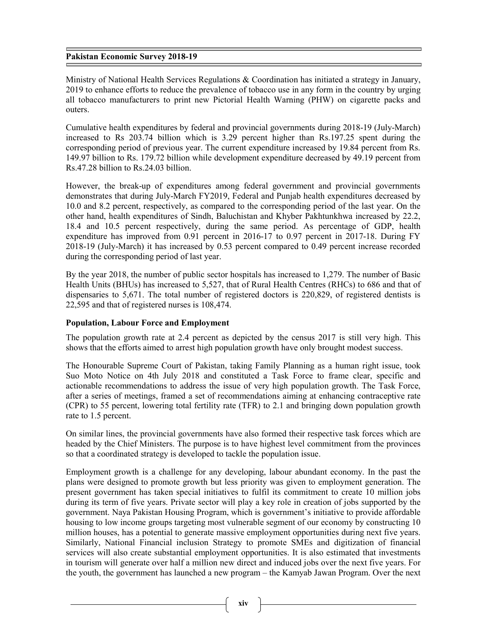Ministry of National Health Services Regulations & Coordination has initiated a strategy in January, 2019 to enhance efforts to reduce the prevalence of tobacco use in any form in the country by urging all tobacco manufacturers to print new Pictorial Health Warning (PHW) on cigarette packs and outers.

Cumulative health expenditures by federal and provincial governments during 2018-19 (July-March) increased to Rs 203.74 billion which is 3.29 percent higher than Rs.197.25 spent during the corresponding period of previous year. The current expenditure increased by 19.84 percent from Rs. 149.97 billion to Rs. 179.72 billion while development expenditure decreased by 49.19 percent from Rs.47.28 billion to Rs.24.03 billion.

However, the break-up of expenditures among federal government and provincial governments demonstrates that during July-March FY2019, Federal and Punjab health expenditures decreased by 10.0 and 8.2 percent, respectively, as compared to the corresponding period of the last year. On the other hand, health expenditures of Sindh, Baluchistan and Khyber Pakhtunkhwa increased by 22.2, 18.4 and 10.5 percent respectively, during the same period. As percentage of GDP, health expenditure has improved from 0.91 percent in 2016-17 to 0.97 percent in 2017-18. During FY 2018-19 (July-March) it has increased by 0.53 percent compared to 0.49 percent increase recorded during the corresponding period of last year.

By the year 2018, the number of public sector hospitals has increased to 1,279. The number of Basic Health Units (BHUs) has increased to 5,527, that of Rural Health Centres (RHCs) to 686 and that of dispensaries to 5,671. The total number of registered doctors is 220,829, of registered dentists is 22,595 and that of registered nurses is 108,474.

## Population, Labour Force and Employment

The population growth rate at 2.4 percent as depicted by the census 2017 is still very high. This shows that the efforts aimed to arrest high population growth have only brought modest success.

The Honourable Supreme Court of Pakistan, taking Family Planning as a human right issue, took Suo Moto Notice on 4th July 2018 and constituted a Task Force to frame clear, specific and actionable recommendations to address the issue of very high population growth. The Task Force, after a series of meetings, framed a set of recommendations aiming at enhancing contraceptive rate (CPR) to 55 percent, lowering total fertility rate (TFR) to 2.1 and bringing down population growth rate to 1.5 percent.

On similar lines, the provincial governments have also formed their respective task forces which are headed by the Chief Ministers. The purpose is to have highest level commitment from the provinces so that a coordinated strategy is developed to tackle the population issue.

Employment growth is a challenge for any developing, labour abundant economy. In the past the plans were designed to promote growth but less priority was given to employment generation. The present government has taken special initiatives to fulfil its commitment to create 10 million jobs during its term of five years. Private sector will play a key role in creation of jobs supported by the government. Naya Pakistan Housing Program, which is government's initiative to provide affordable housing to low income groups targeting most vulnerable segment of our economy by constructing 10 million houses, has a potential to generate massive employment opportunities during next five years. Similarly, National Financial inclusion Strategy to promote SMEs and digitization of financial services will also create substantial employment opportunities. It is also estimated that investments in tourism will generate over half a million new direct and induced jobs over the next five years. For the youth, the government has launched a new program – the Kamyab Jawan Program. Over the next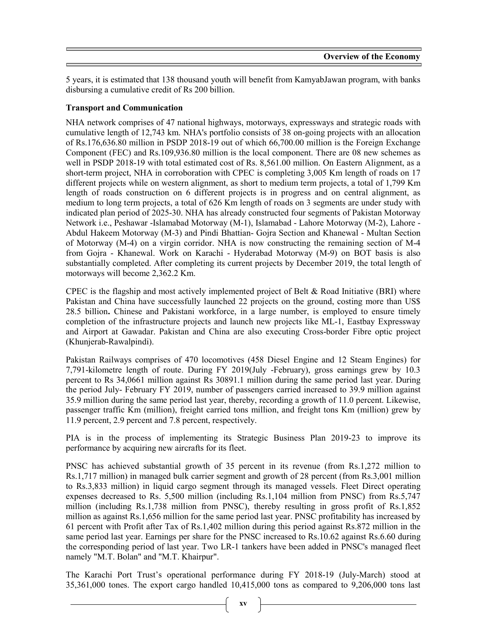5 years, it is estimated that 138 thousand youth will benefit from KamyabJawan program, with banks disbursing a cumulative credit of Rs 200 billion.

## Transport and Communication

NHA network comprises of 47 national highways, motorways, expressways and strategic roads with cumulative length of 12,743 km. NHA's portfolio consists of 38 on-going projects with an allocation of Rs.176,636.80 million in PSDP 2018-19 out of which 66,700.00 million is the Foreign Exchange Component (FEC) and Rs.109,936.80 million is the local component. There are 08 new schemes as well in PSDP 2018-19 with total estimated cost of Rs. 8,561.00 million. On Eastern Alignment, as a short-term project, NHA in corroboration with CPEC is completing 3,005 Km length of roads on 17 different projects while on western alignment, as short to medium term projects, a total of 1,799 Km length of roads construction on 6 different projects is in progress and on central alignment, as medium to long term projects, a total of 626 Km length of roads on 3 segments are under study with indicated plan period of 2025-30. NHA has already constructed four segments of Pakistan Motorway Network i.e., Peshawar -Islamabad Motorway (M-1), Islamabad - Lahore Motorway (M-2), Lahore - Abdul Hakeem Motorway (M-3) and Pindi Bhattian- Gojra Section and Khanewal - Multan Section of Motorway (M-4) on a virgin corridor. NHA is now constructing the remaining section of M-4 from Gojra - Khanewal. Work on Karachi - Hyderabad Motorway (M-9) on BOT basis is also substantially completed. After completing its current projects by December 2019, the total length of motorways will become 2,362.2 Km.

CPEC is the flagship and most actively implemented project of Belt & Road Initiative (BRI) where Pakistan and China have successfully launched 22 projects on the ground, costing more than US\$ 28.5 billion. Chinese and Pakistani workforce, in a large number, is employed to ensure timely completion of the infrastructure projects and launch new projects like ML-1, Eastbay Expressway and Airport at Gawadar. Pakistan and China are also executing Cross-border Fibre optic project (Khunjerab-Rawalpindi).

Pakistan Railways comprises of 470 locomotives (458 Diesel Engine and 12 Steam Engines) for 7,791-kilometre length of route. During FY 2019(July -February), gross earnings grew by 10.3 percent to Rs 34,0661 million against Rs 30891.1 million during the same period last year. During the period July- February FY 2019, number of passengers carried increased to 39.9 million against 35.9 million during the same period last year, thereby, recording a growth of 11.0 percent. Likewise, passenger traffic Km (million), freight carried tons million, and freight tons Km (million) grew by 11.9 percent, 2.9 percent and 7.8 percent, respectively.

PIA is in the process of implementing its Strategic Business Plan 2019-23 to improve its performance by acquiring new aircrafts for its fleet.

PNSC has achieved substantial growth of 35 percent in its revenue (from Rs.1,272 million to Rs.1,717 million) in managed bulk carrier segment and growth of 28 percent (from Rs.3,001 million to Rs.3,833 million) in liquid cargo segment through its managed vessels. Fleet Direct operating expenses decreased to Rs. 5,500 million (including Rs.1,104 million from PNSC) from Rs.5,747 million (including Rs.1,738 million from PNSC), thereby resulting in gross profit of Rs.1,852 million as against Rs.1,656 million for the same period last year. PNSC profitability has increased by 61 percent with Profit after Tax of Rs.1,402 million during this period against Rs.872 million in the same period last year. Earnings per share for the PNSC increased to Rs.10.62 against Rs.6.60 during the corresponding period of last year. Two LR-1 tankers have been added in PNSC's managed fleet namely "M.T. Bolan" and "M.T. Khairpur".

The Karachi Port Trust's operational performance during FY 2018-19 (July-March) stood at 35,361,000 tones. The export cargo handled 10,415,000 tons as compared to 9,206,000 tons last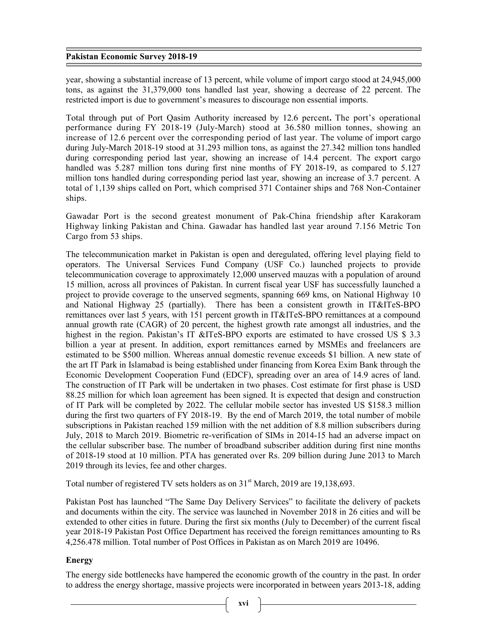year, showing a substantial increase of 13 percent, while volume of import cargo stood at 24,945,000 tons, as against the 31,379,000 tons handled last year, showing a decrease of 22 percent. The restricted import is due to government's measures to discourage non essential imports.

Total through put of Port Qasim Authority increased by 12.6 percent. The port's operational performance during FY 2018-19 (July-March) stood at 36.580 million tonnes, showing an increase of 12.6 percent over the corresponding period of last year. The volume of import cargo during July-March 2018-19 stood at 31.293 million tons, as against the 27.342 million tons handled during corresponding period last year, showing an increase of 14.4 percent. The export cargo handled was 5.287 million tons during first nine months of FY 2018-19, as compared to 5.127 million tons handled during corresponding period last year, showing an increase of 3.7 percent. A total of 1,139 ships called on Port, which comprised 371 Container ships and 768 Non-Container ships.

Gawadar Port is the second greatest monument of Pak-China friendship after Karakoram Highway linking Pakistan and China. Gawadar has handled last year around 7.156 Metric Ton Cargo from 53 ships.

The telecommunication market in Pakistan is open and deregulated, offering level playing field to operators. The Universal Services Fund Company (USF Co.) launched projects to provide telecommunication coverage to approximately 12,000 unserved mauzas with a population of around 15 million, across all provinces of Pakistan. In current fiscal year USF has successfully launched a project to provide coverage to the unserved segments, spanning 669 kms, on National Highway 10 and National Highway 25 (partially). There has been a consistent growth in IT&ITeS-BPO remittances over last 5 years, with 151 percent growth in IT&ITeS-BPO remittances at a compound annual growth rate (CAGR) of 20 percent, the highest growth rate amongst all industries, and the highest in the region. Pakistan's IT &ITeS-BPO exports are estimated to have crossed US \$ 3.3 billion a year at present. In addition, export remittances earned by MSMEs and freelancers are estimated to be \$500 million. Whereas annual domestic revenue exceeds \$1 billion. A new state of the art IT Park in Islamabad is being established under financing from Korea Exim Bank through the Economic Development Cooperation Fund (EDCF), spreading over an area of 14.9 acres of land. The construction of IT Park will be undertaken in two phases. Cost estimate for first phase is USD 88.25 million for which loan agreement has been signed. It is expected that design and construction of IT Park will be completed by 2022. The cellular mobile sector has invested US \$158.3 million during the first two quarters of FY 2018-19. By the end of March 2019, the total number of mobile subscriptions in Pakistan reached 159 million with the net addition of 8.8 million subscribers during July, 2018 to March 2019. Biometric re-verification of SIMs in 2014-15 had an adverse impact on the cellular subscriber base. The number of broadband subscriber addition during first nine months of 2018-19 stood at 10 million. PTA has generated over Rs. 209 billion during June 2013 to March 2019 through its levies, fee and other charges.

Total number of registered TV sets holders as on  $31<sup>st</sup>$  March, 2019 are 19,138,693.

Pakistan Post has launched "The Same Day Delivery Services" to facilitate the delivery of packets and documents within the city. The service was launched in November 2018 in 26 cities and will be extended to other cities in future. During the first six months (July to December) of the current fiscal year 2018-19 Pakistan Post Office Department has received the foreign remittances amounting to Rs 4,256.478 million. Total number of Post Offices in Pakistan as on March 2019 are 10496.

# Energy

The energy side bottlenecks have hampered the economic growth of the country in the past. In order to address the energy shortage, massive projects were incorporated in between years 2013-18, adding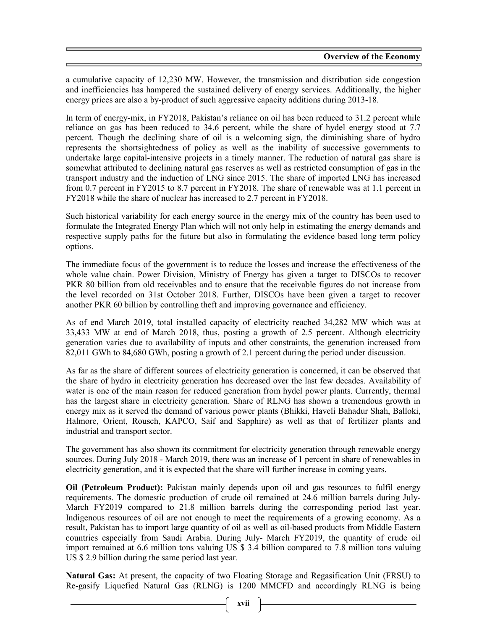a cumulative capacity of 12,230 MW. However, the transmission and distribution side congestion and inefficiencies has hampered the sustained delivery of energy services. Additionally, the higher energy prices are also a by-product of such aggressive capacity additions during 2013-18.

In term of energy-mix, in FY2018, Pakistan's reliance on oil has been reduced to 31.2 percent while reliance on gas has been reduced to 34.6 percent, while the share of hydel energy stood at 7.7 percent. Though the declining share of oil is a welcoming sign, the diminishing share of hydro represents the shortsightedness of policy as well as the inability of successive governments to undertake large capital-intensive projects in a timely manner. The reduction of natural gas share is somewhat attributed to declining natural gas reserves as well as restricted consumption of gas in the transport industry and the induction of LNG since 2015. The share of imported LNG has increased from 0.7 percent in FY2015 to 8.7 percent in FY2018. The share of renewable was at 1.1 percent in FY2018 while the share of nuclear has increased to 2.7 percent in FY2018.

Such historical variability for each energy source in the energy mix of the country has been used to formulate the Integrated Energy Plan which will not only help in estimating the energy demands and respective supply paths for the future but also in formulating the evidence based long term policy options.

The immediate focus of the government is to reduce the losses and increase the effectiveness of the whole value chain. Power Division, Ministry of Energy has given a target to DISCOs to recover PKR 80 billion from old receivables and to ensure that the receivable figures do not increase from the level recorded on 31st October 2018. Further, DISCOs have been given a target to recover another PKR 60 billion by controlling theft and improving governance and efficiency.

As of end March 2019, total installed capacity of electricity reached 34,282 MW which was at 33,433 MW at end of March 2018, thus, posting a growth of 2.5 percent. Although electricity generation varies due to availability of inputs and other constraints, the generation increased from 82,011 GWh to 84,680 GWh, posting a growth of 2.1 percent during the period under discussion.

As far as the share of different sources of electricity generation is concerned, it can be observed that the share of hydro in electricity generation has decreased over the last few decades. Availability of water is one of the main reason for reduced generation from hydel power plants. Currently, thermal has the largest share in electricity generation. Share of RLNG has shown a tremendous growth in energy mix as it served the demand of various power plants (Bhikki, Haveli Bahadur Shah, Balloki, Halmore, Orient, Rousch, KAPCO, Saif and Sapphire) as well as that of fertilizer plants and industrial and transport sector.

The government has also shown its commitment for electricity generation through renewable energy sources. During July 2018 - March 2019, there was an increase of 1 percent in share of renewables in electricity generation, and it is expected that the share will further increase in coming years.

Oil (Petroleum Product): Pakistan mainly depends upon oil and gas resources to fulfil energy requirements. The domestic production of crude oil remained at 24.6 million barrels during July-March FY2019 compared to 21.8 million barrels during the corresponding period last year. Indigenous resources of oil are not enough to meet the requirements of a growing economy. As a result, Pakistan has to import large quantity of oil as well as oil-based products from Middle Eastern countries especially from Saudi Arabia. During July- March FY2019, the quantity of crude oil import remained at 6.6 million tons valuing US \$ 3.4 billion compared to 7.8 million tons valuing US \$ 2.9 billion during the same period last year.

Natural Gas: At present, the capacity of two Floating Storage and Regasification Unit (FRSU) to Re-gasify Liquefied Natural Gas (RLNG) is 1200 MMCFD and accordingly RLNG is being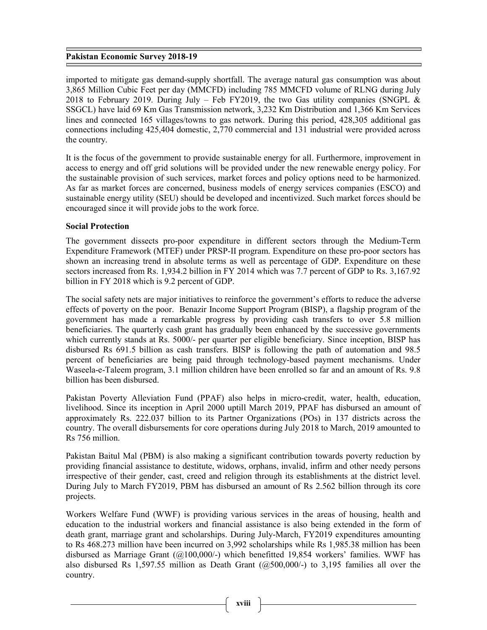imported to mitigate gas demand-supply shortfall. The average natural gas consumption was about 3,865 Million Cubic Feet per day (MMCFD) including 785 MMCFD volume of RLNG during July 2018 to February 2019. During July – Feb FY2019, the two Gas utility companies (SNGPL  $\&$ SSGCL) have laid 69 Km Gas Transmission network, 3,232 Km Distribution and 1,366 Km Services lines and connected 165 villages/towns to gas network. During this period, 428,305 additional gas connections including 425,404 domestic, 2,770 commercial and 131 industrial were provided across the country.

It is the focus of the government to provide sustainable energy for all. Furthermore, improvement in access to energy and off grid solutions will be provided under the new renewable energy policy. For the sustainable provision of such services, market forces and policy options need to be harmonized. As far as market forces are concerned, business models of energy services companies (ESCO) and sustainable energy utility (SEU) should be developed and incentivized. Such market forces should be encouraged since it will provide jobs to the work force.

## Social Protection

The government dissects pro-poor expenditure in different sectors through the Medium-Term Expenditure Framework (MTEF) under PRSP-II program. Expenditure on these pro-poor sectors has shown an increasing trend in absolute terms as well as percentage of GDP. Expenditure on these sectors increased from Rs. 1,934.2 billion in FY 2014 which was 7.7 percent of GDP to Rs. 3,167.92 billion in FY 2018 which is 9.2 percent of GDP.

The social safety nets are major initiatives to reinforce the government's efforts to reduce the adverse effects of poverty on the poor. Benazir Income Support Program (BISP), a flagship program of the government has made a remarkable progress by providing cash transfers to over 5.8 million beneficiaries. The quarterly cash grant has gradually been enhanced by the successive governments which currently stands at Rs. 5000/- per quarter per eligible beneficiary. Since inception, BISP has disbursed Rs 691.5 billion as cash transfers. BISP is following the path of automation and 98.5 percent of beneficiaries are being paid through technology-based payment mechanisms. Under Waseela-e-Taleem program, 3.1 million children have been enrolled so far and an amount of Rs. 9.8 billion has been disbursed.

Pakistan Poverty Alleviation Fund (PPAF) also helps in micro-credit, water, health, education, livelihood. Since its inception in April 2000 uptill March 2019, PPAF has disbursed an amount of approximately Rs. 222.037 billion to its Partner Organizations (POs) in 137 districts across the country. The overall disbursements for core operations during July 2018 to March, 2019 amounted to Rs 756 million.

Pakistan Baitul Mal (PBM) is also making a significant contribution towards poverty reduction by providing financial assistance to destitute, widows, orphans, invalid, infirm and other needy persons irrespective of their gender, cast, creed and religion through its establishments at the district level. During July to March FY2019, PBM has disbursed an amount of Rs 2.562 billion through its core projects.

Workers Welfare Fund (WWF) is providing various services in the areas of housing, health and education to the industrial workers and financial assistance is also being extended in the form of death grant, marriage grant and scholarships. During July-March, FY2019 expenditures amounting to Rs 468.273 million have been incurred on 3,992 scholarships while Rs 1,985.38 million has been disbursed as Marriage Grant (@100,000/-) which benefitted 19,854 workers' families. WWF has also disbursed Rs 1,597.55 million as Death Grant  $(a,500,000/4)$  to 3,195 families all over the country.